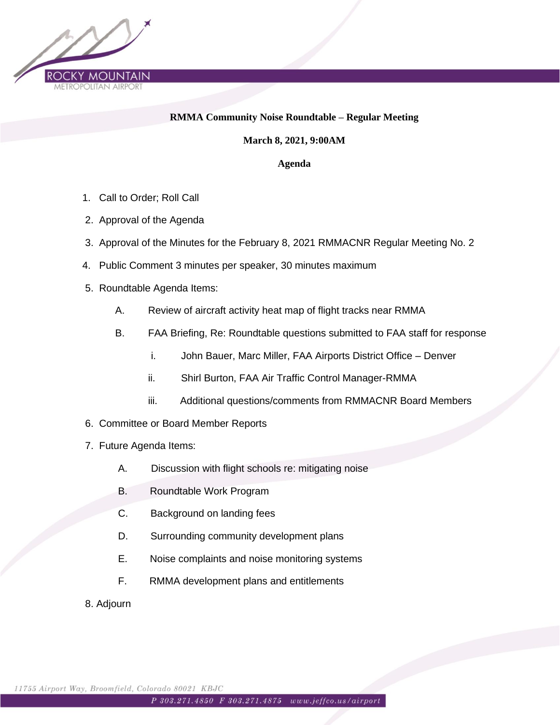

## **RMMA Community Noise Roundtable – Regular Meeting**

**March 8, 2021, 9:00AM**

**Agenda**

- 1. Call to Order; Roll Call
- 2. Approval of the Agenda
- 3. Approval of the Minutes for the February 8, 2021 RMMACNR Regular Meeting No. 2
- 4. Public Comment 3 minutes per speaker, 30 minutes maximum
- 5. Roundtable Agenda Items:
	- A. Review of aircraft activity heat map of flight tracks near RMMA
	- B. FAA Briefing, Re: Roundtable questions submitted to FAA staff for response
		- i. John Bauer, Marc Miller, FAA Airports District Office Denver
		- ii. Shirl Burton, FAA Air Traffic Control Manager-RMMA
		- iii. Additional questions/comments from RMMACNR Board Members
- 6. Committee or Board Member Reports
- 7. Future Agenda Items:
	- A. Discussion with flight schools re: mitigating noise
	- B. Roundtable Work Program
	- C. Background on landing fees
	- D. Surrounding community development plans
	- E. Noise complaints and noise monitoring systems
	- F. RMMA development plans and entitlements
- 8. Adjourn